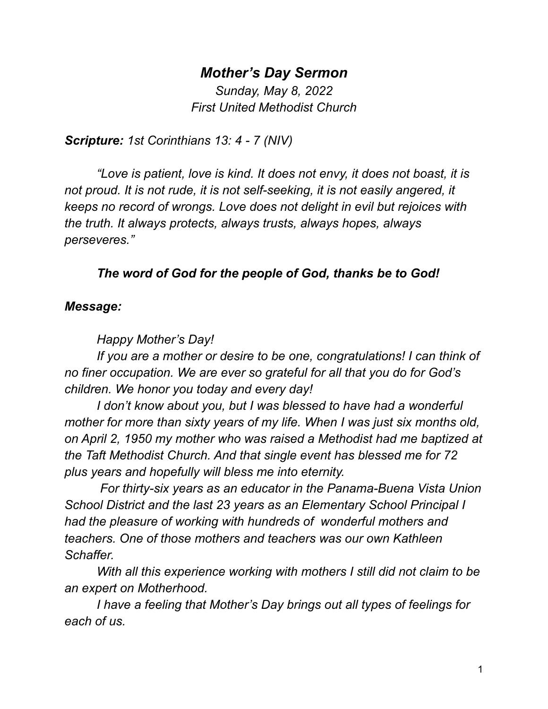## *Mother's Day Sermon*

*Sunday, May 8, 2022 First United Methodist Church*

*Scripture: 1st Corinthians 13: 4 - 7 (NIV)*

*"Love is patient, love is kind. It does not envy, it does not boast, it is not proud. It is not rude, it is not self-seeking, it is not easily angered, it keeps no record of wrongs. Love does not delight in evil but rejoices with the truth. It always protects, always trusts, always hopes, always perseveres."*

## *The word of God for the people of God, thanks be to God!*

## *Message:*

*Happy Mother's Day!*

*If you are a mother or desire to be one, congratulations! I can think of no finer occupation. We are ever so grateful for all that you do for God's children. We honor you today and every day!*

*I don't know about you, but I was blessed to have had a wonderful mother for more than sixty years of my life. When I was just six months old, on April 2, 1950 my mother who was raised a Methodist had me baptized at the Taft Methodist Church. And that single event has blessed me for 72 plus years and hopefully will bless me into eternity.*

*For thirty-six years as an educator in the Panama-Buena Vista Union School District and the last 23 years as an Elementary School Principal I had the pleasure of working with hundreds of wonderful mothers and teachers. One of those mothers and teachers was our own Kathleen Schaffer.*

*With all this experience working with mothers I still did not claim to be an expert on Motherhood.*

*I have a feeling that Mother's Day brings out all types of feelings for each of us.*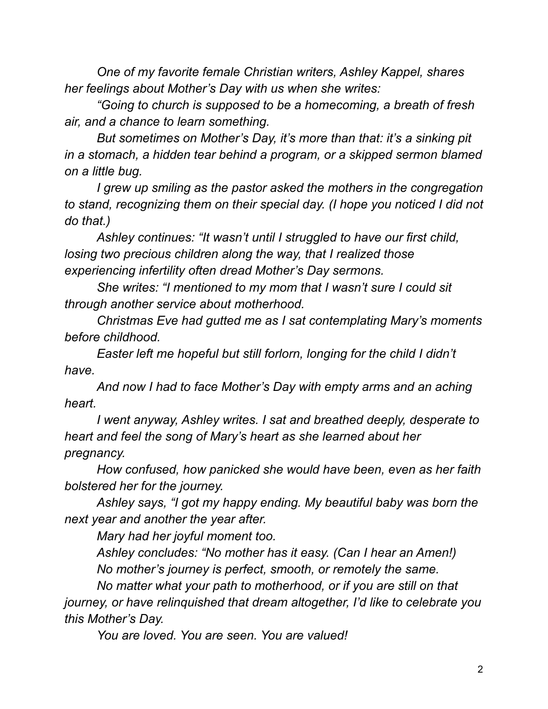*One of my favorite female Christian writers, Ashley Kappel, shares her feelings about Mother's Day with us when she writes:*

*"Going to church is supposed to be a homecoming, a breath of fresh air, and a chance to learn something.*

*But sometimes on Mother's Day, it's more than that: it's a sinking pit in a stomach, a hidden tear behind a program, or a skipped sermon blamed on a little bug.*

*I grew up smiling as the pastor asked the mothers in the congregation to stand, recognizing them on their special day. (I hope you noticed I did not do that.)*

*Ashley continues: "It wasn't until I struggled to have our first child, losing two precious children along the way, that I realized those experiencing infertility often dread Mother's Day sermons.*

*She writes: "I mentioned to my mom that I wasn't sure I could sit through another service about motherhood.*

*Christmas Eve had gutted me as I sat contemplating Mary's moments before childhood.*

*Easter left me hopeful but still forlorn, longing for the child I didn't have.*

*And now I had to face Mother's Day with empty arms and an aching heart.*

*I went anyway, Ashley writes. I sat and breathed deeply, desperate to heart and feel the song of Mary's heart as she learned about her pregnancy.*

*How confused, how panicked she would have been, even as her faith bolstered her for the journey.*

*Ashley says, "I got my happy ending. My beautiful baby was born the next year and another the year after.*

*Mary had her joyful moment too.*

*Ashley concludes: "No mother has it easy. (Can I hear an Amen!) No mother's journey is perfect, smooth, or remotely the same.*

*No matter what your path to motherhood, or if you are still on that journey, or have relinquished that dream altogether, I'd like to celebrate you this Mother's Day.*

*You are loved. You are seen. You are valued!*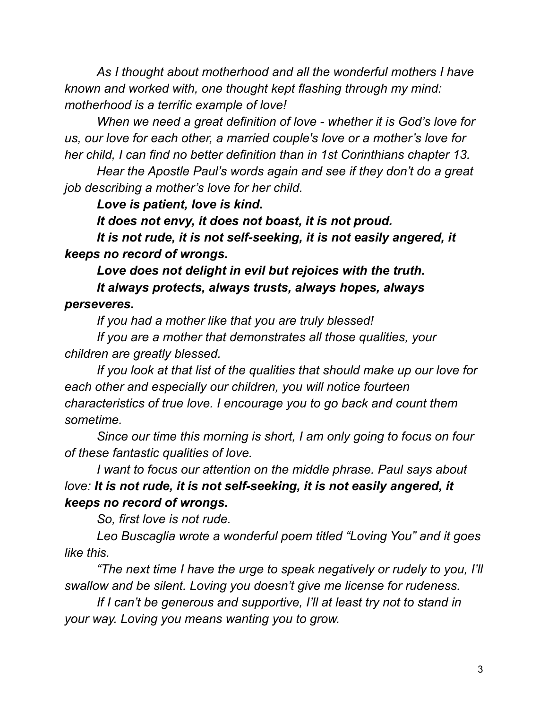*As I thought about motherhood and all the wonderful mothers I have known and worked with, one thought kept flashing through my mind: motherhood is a terrific example of love!*

*When we need a great definition of love - whether it is God's love for us, our love for each other, a married couple's love or a mother's love for her child, I can find no better definition than in 1st Corinthians chapter 13.*

*Hear the Apostle Paul's words again and see if they don't do a great job describing a mother's love for her child.*

*Love is patient, love is kind.*

*It does not envy, it does not boast, it is not proud.*

*It is not rude, it is not self-seeking, it is not easily angered, it keeps no record of wrongs.*

*Love does not delight in evil but rejoices with the truth. It always protects, always trusts, always hopes, always perseveres.*

*If you had a mother like that you are truly blessed!*

*If you are a mother that demonstrates all those qualities, your children are greatly blessed.*

*If you look at that list of the qualities that should make up our love for each other and especially our children, you will notice fourteen characteristics of true love. I encourage you to go back and count them sometime.*

*Since our time this morning is short, I am only going to focus on four of these fantastic qualities of love.*

*I want to focus our attention on the middle phrase. Paul says about love: It is not rude, it is not self-seeking, it is not easily angered, it keeps no record of wrongs.*

*So, first love is not rude.*

*Leo Buscaglia wrote a wonderful poem titled "Loving You" and it goes like this.*

*"The next time I have the urge to speak negatively or rudely to you, I'll swallow and be silent. Loving you doesn't give me license for rudeness.*

*If I can't be generous and supportive, I'll at least try not to stand in your way. Loving you means wanting you to grow.*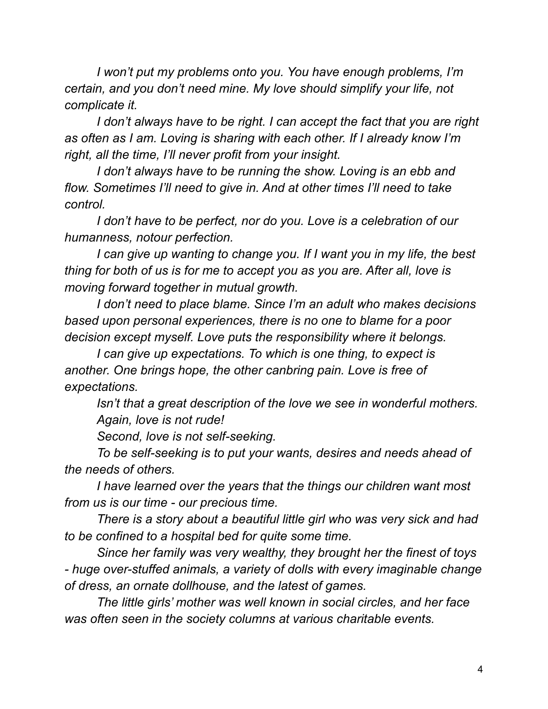*I won't put my problems onto you. You have enough problems, I'm certain, and you don't need mine. My love should simplify your life, not complicate it.*

*I don't always have to be right. I can accept the fact that you are right as often as I am. Loving is sharing with each other. If I already know I'm right, all the time, I'll never profit from your insight.*

*I don't always have to be running the show. Loving is an ebb and flow. Sometimes I'll need to give in. And at other times I'll need to take control.*

*I don't have to be perfect, nor do you. Love is a celebration of our humanness, notour perfection.*

*I can give up wanting to change you. If I want you in my life, the best thing for both of us is for me to accept you as you are. After all, love is moving forward together in mutual growth.*

*I don't need to place blame. Since I'm an adult who makes decisions based upon personal experiences, there is no one to blame for a poor decision except myself. Love puts the responsibility where it belongs.*

*I can give up expectations. To which is one thing, to expect is another. One brings hope, the other canbring pain. Love is free of expectations.*

*Isn't that a great description of the love we see in wonderful mothers. Again, love is not rude!*

*Second, love is not self-seeking.*

*To be self-seeking is to put your wants, desires and needs ahead of the needs of others.*

*I have learned over the years that the things our children want most from us is our time - our precious time.*

*There is a story about a beautiful little girl who was very sick and had to be confined to a hospital bed for quite some time.*

*Since her family was very wealthy, they brought her the finest of toys - huge over-stuffed animals, a variety of dolls with every imaginable change of dress, an ornate dollhouse, and the latest of games.*

*The little girls' mother was well known in social circles, and her face was often seen in the society columns at various charitable events.*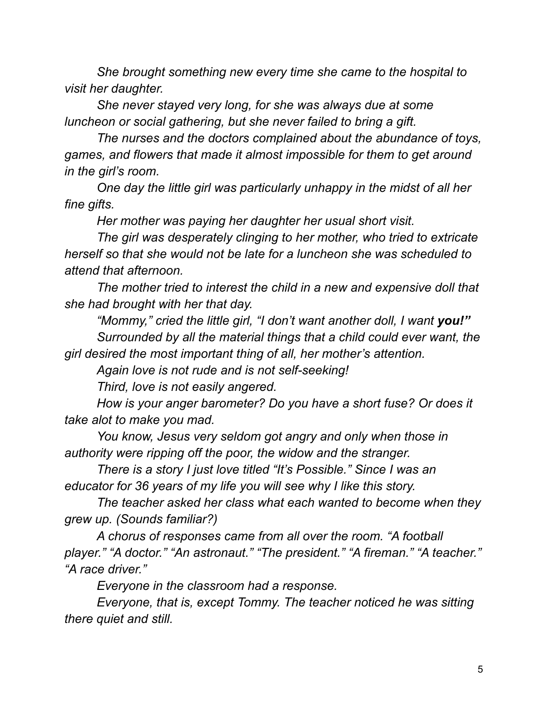*She brought something new every time she came to the hospital to visit her daughter.*

*She never stayed very long, for she was always due at some luncheon or social gathering, but she never failed to bring a gift.*

*The nurses and the doctors complained about the abundance of toys, games, and flowers that made it almost impossible for them to get around in the girl's room.*

*One day the little girl was particularly unhappy in the midst of all her fine gifts.*

*Her mother was paying her daughter her usual short visit.*

*The girl was desperately clinging to her mother, who tried to extricate herself so that she would not be late for a luncheon she was scheduled to attend that afternoon.*

*The mother tried to interest the child in a new and expensive doll that she had brought with her that day.*

*"Mommy," cried the little girl, "I don't want another doll, I want you!" Surrounded by all the material things that a child could ever want, the girl desired the most important thing of all, her mother's attention.*

*Again love is not rude and is not self-seeking!*

*Third, love is not easily angered.*

*How is your anger barometer? Do you have a short fuse? Or does it take alot to make you mad.*

*You know, Jesus very seldom got angry and only when those in authority were ripping off the poor, the widow and the stranger.*

*There is a story I just love titled "It's Possible." Since I was an educator for 36 years of my life you will see why I like this story.*

*The teacher asked her class what each wanted to become when they grew up. (Sounds familiar?)*

*A chorus of responses came from all over the room. "A football player." "A doctor." "An astronaut." "The president." "A fireman." "A teacher." "A race driver."*

*Everyone in the classroom had a response.*

*Everyone, that is, except Tommy. The teacher noticed he was sitting there quiet and still.*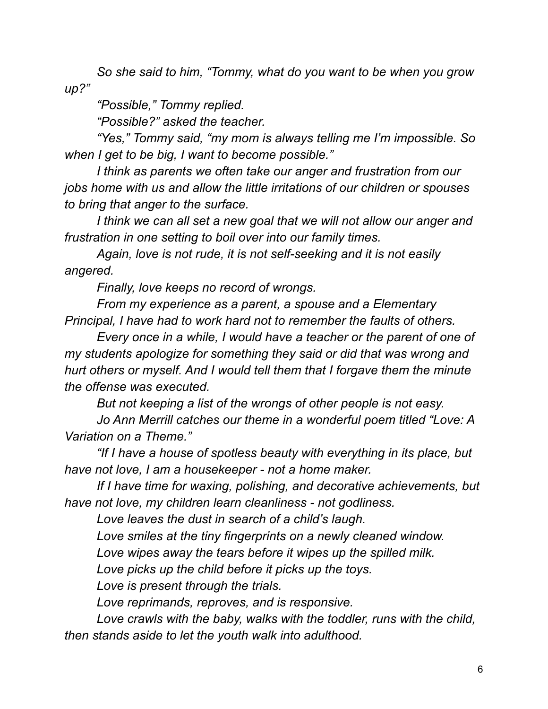*So she said to him, "Tommy, what do you want to be when you grow up?"*

*"Possible," Tommy replied.*

*"Possible?" asked the teacher.*

*"Yes," Tommy said, "my mom is always telling me I'm impossible. So when I get to be big, I want to become possible."*

*I think as parents we often take our anger and frustration from our jobs home with us and allow the little irritations of our children or spouses to bring that anger to the surface.*

*I think we can all set a new goal that we will not allow our anger and frustration in one setting to boil over into our family times.*

*Again, love is not rude, it is not self-seeking and it is not easily angered.*

*Finally, love keeps no record of wrongs.*

*From my experience as a parent, a spouse and a Elementary Principal, I have had to work hard not to remember the faults of others.*

*Every once in a while, I would have a teacher or the parent of one of my students apologize for something they said or did that was wrong and hurt others or myself. And I would tell them that I forgave them the minute the offense was executed.*

*But not keeping a list of the wrongs of other people is not easy.*

*Jo Ann Merrill catches our theme in a wonderful poem titled "Love: A Variation on a Theme."*

*"If I have a house of spotless beauty with everything in its place, but have not love, I am a housekeeper - not a home maker.*

*If I have time for waxing, polishing, and decorative achievements, but have not love, my children learn cleanliness - not godliness.*

*Love leaves the dust in search of a child's laugh.*

*Love smiles at the tiny fingerprints on a newly cleaned window.*

*Love wipes away the tears before it wipes up the spilled milk.*

*Love picks up the child before it picks up the toys.*

*Love is present through the trials.*

*Love reprimands, reproves, and is responsive.*

*Love crawls with the baby, walks with the toddler, runs with the child, then stands aside to let the youth walk into adulthood.*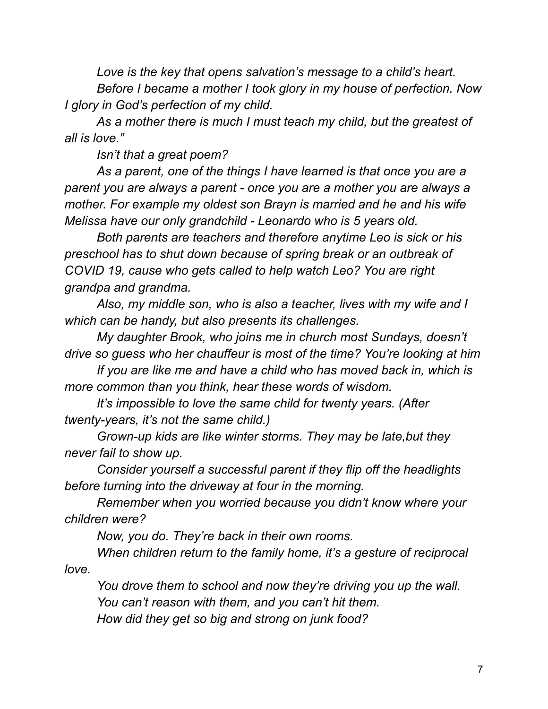*Love is the key that opens salvation's message to a child's heart. Before I became a mother I took glory in my house of perfection. Now I glory in God's perfection of my child.*

*As a mother there is much I must teach my child, but the greatest of all is love."*

*Isn't that a great poem?*

*As a parent, one of the things I have learned is that once you are a parent you are always a parent - once you are a mother you are always a mother. For example my oldest son Brayn is married and he and his wife Melissa have our only grandchild - Leonardo who is 5 years old.*

*Both parents are teachers and therefore anytime Leo is sick or his preschool has to shut down because of spring break or an outbreak of COVID 19, cause who gets called to help watch Leo? You are right grandpa and grandma.*

*Also, my middle son, who is also a teacher, lives with my wife and I which can be handy, but also presents its challenges.*

*My daughter Brook, who joins me in church most Sundays, doesn't drive so guess who her chauffeur is most of the time? You're looking at him*

*If you are like me and have a child who has moved back in, which is more common than you think, hear these words of wisdom.*

*It's impossible to love the same child for twenty years. (After twenty-years, it's not the same child.)*

*Grown-up kids are like winter storms. They may be late,but they never fail to show up.*

*Consider yourself a successful parent if they flip off the headlights before turning into the driveway at four in the morning.*

*Remember when you worried because you didn't know where your children were?*

*Now, you do. They're back in their own rooms.*

*When children return to the family home, it's a gesture of reciprocal love.*

*You drove them to school and now they're driving you up the wall. You can't reason with them, and you can't hit them. How did they get so big and strong on junk food?*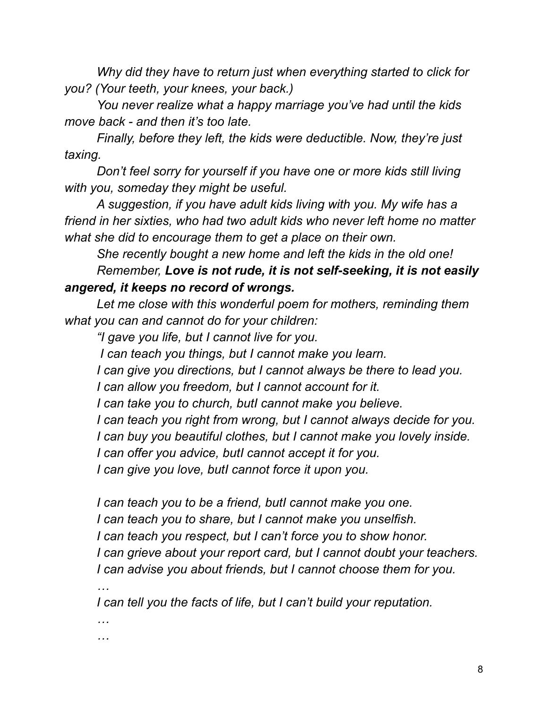*Why did they have to return just when everything started to click for you? (Your teeth, your knees, your back.)*

*You never realize what a happy marriage you've had until the kids move back - and then it's too late.*

*Finally, before they left, the kids were deductible. Now, they're just taxing.*

*Don't feel sorry for yourself if you have one or more kids still living with you, someday they might be useful.*

*A suggestion, if you have adult kids living with you. My wife has a friend in her sixties, who had two adult kids who never left home no matter what she did to encourage them to get a place on their own.*

*She recently bought a new home and left the kids in the old one!*

*Remember, Love is not rude, it is not self-seeking, it is not easily angered, it keeps no record of wrongs.*

*Let me close with this wonderful poem for mothers, reminding them what you can and cannot do for your children:*

*"I gave you life, but I cannot live for you.*

*I can teach you things, but I cannot make you learn.*

*I can give you directions, but I cannot always be there to lead you.*

*I can allow you freedom, but I cannot account for it.*

*I can take you to church, butI cannot make you believe.*

*I can teach you right from wrong, but I cannot always decide for you.*

*I can buy you beautiful clothes, but I cannot make you lovely inside.*

*I can offer you advice, butI cannot accept it for you.*

*I can give you love, butI cannot force it upon you.*

*I can teach you to be a friend, butI cannot make you one. I can teach you to share, but I cannot make you unselfish. I can teach you respect, but I can't force you to show honor. I can grieve about your report card, but I cannot doubt your teachers. I can advise you about friends, but I cannot choose them for you.*

*…*

*I can tell you the facts of life, but I can't build your reputation.*

*… …*